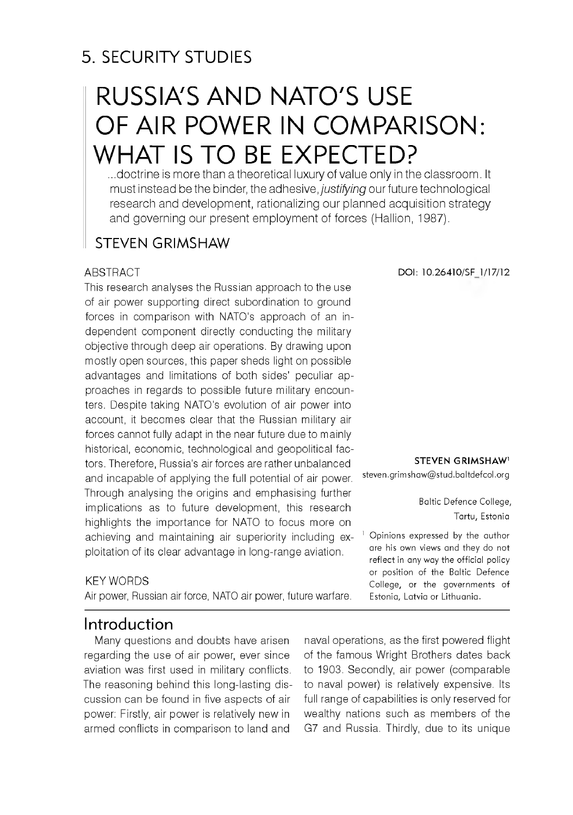# 5. SECURITY STUDIES

# RUSSIA'S AND NATO'S USE OF AIR POWER IN COMPARISON: WHAT IS TO BE EXPECTED?

...doctrine is more than a theoretical luxury of value only in the classroom. It m ust instead be the binder, the adhesive, *justifying* our future technological research and development, rationalizing our planned acquisition strategy and governing our present employment of forces (Hallion, 1987).

### STEVEN GRIMSHAW

#### **ABSTRACT**

This research analyses the Russian approach to the use of air power supporting direct subordination to ground forces in comparison with NATO's approach of an independent component directly conducting the military objective through deep air operations. By drawing upon mostly open sources, this paper sheds light on possible advantages and limitations of both sides' peculiar approaches in regards to possible future military encounters. Despite taking NATO's evolution of air power into account, it becomes clear that the Russian military air forces cannot fully adapt in the near future due to mainly historical, economic, technological and geopolitical factors. Therefore, Russia's air forces are rather unbalanced and incapable of applying the full potential of air power. Through analysing the origins and emphasising further implications as to future development, this research highlights the importance for NATO to focus more on achieving and maintaining air superiority including exploitation of its clear advantage in long-range aviation.

#### KEY WORDS

Air power, Russian air force, NATO air power, future warfare.

**DOI: 10.26410/SF 1/17/12**

**STEVEN GRIMSHAW** 

[steven.grim shaw @ stud.baltdefcol.org](mailto:steven.grimshaw@stud.baltdefcol.org)

Baltic Defence College, Tartu, Estonia

 $<sup>1</sup>$  Opinions expressed by the author</sup> are his own views and they do not reflect in any way the official policy or position of the Baltic Defence College, or the governments of Estonia, Latvia or Lithuania.

### Introduction

Many questions and doubts have arisen regarding the use of air power, ever since aviation was first used in military conflicts. The reasoning behind this long-lasting discussion can be found in five aspects of air power: Firstly, air power is relatively new in armed conflicts in comparison to land and

naval operations, as the first powered flight of the famous Wright Brothers dates back to 1903. Secondly, air power (comparable to naval power) is relatively expensive. Its full range of capabilities is only reserved for wealthy nations such as members of the G7 and Russia. Thirdly, due to its unique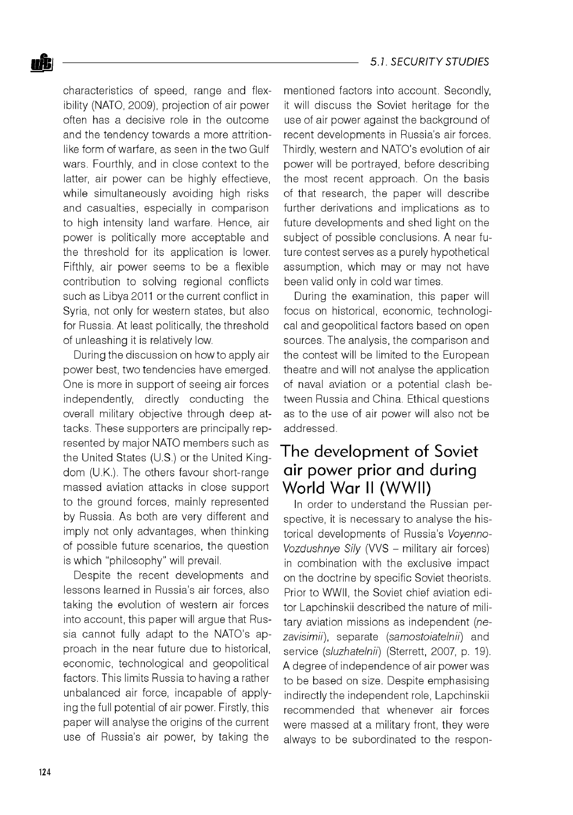characteristics of speed, range and flexibility (NATO, 2009), projection of air power often has a decisive role in the outcome and the tendency towards a more attritionlike form of warfare, as seen in the two Gulf wars. Fourthly, and in close context to the latter, air power can be highly effectieve, while simultaneously avoiding high risks and casualties, especially in comparison to high intensity land warfare. Hence, air power is politically more acceptable and the threshold for its application is lower. Fifthly, air power seems to be a flexible contribution to solving regional conflicts such as Libya 2011 or the current conflict in Syria, not only for western states, but also for Russia. At least politically, the threshold of unleashing it is relatively low.

During the discussion on how to apply air power best, two tendencies have emerged. One is more in support of seeing air forces independently, directly conducting the overall military objective through deep attacks. These supporters are principally represented by major NATO members such as the United States (U.S.) or the United Kingdom (U.K.). The others favour short-range massed aviation attacks in close support to the ground forces, mainly represented by Russia. As both are very different and imply not only advantages, when thinking of possible future scenarios, the question is which "philosophy" will prevail.

Despite the recent developments and lessons learned in Russia's air forces, also taking the evolution of western air forces into account, this paper will argue that Russia cannot fully adapt to the NATO's approach in the near future due to historical, economic, technological and geopolitical factors. This limits Russia to having a rather unbalanced air force, incapable of applying the full potential of air power. Firstly, this paper will analyse the origins of the current use of Russia's air power, by taking the

mentioned factors into account. Secondly, it will discuss the Soviet heritage for the use of air power against the background of recent developments in Russia's air forces. Thirdly, western and NATO's evolution of air power will be portrayed, before describing the most recent approach. On the basis of that research, the paper will describe further derivations and implications as to future developments and shed light on the subject of possible conclusions. A near future contest serves as a purely hypothetical assumption, which may or may not have been valid only in cold war times.

During the examination, this paper will focus on historical, economic, technological and geopolitical factors based on open sources. The analysis, the comparison and the contest will be limited to the European theatre and will not analyse the application of naval aviation or a potential clash between Russia and China. Ethical questions as to the use of air power will also not be addressed.

## The development of Soviet air power prior and during World War II (WWII)

In order to understand the Russian perspective, it is necessary to analyse the historical developments of Russia's *Voyenno-Vozdushnye Sily* (VVS - military air forces) in combination with the exclusive impact on the doctrine by specific Soviet theorists. Prior to WWII, the Soviet chief aviation editor Lapchinskii described the nature of military aviation missions as independent *(nezavisimii),* separate *(samostoiatelnii)* and service *(sluzhatelnii)* (Sterrett, 2007, p. 19). A degree of independence of air power was to be based on size. Despite emphasising indirectly the independent role, Lapchinskii recommended that whenever air forces were massed at a military front, they were always to be subordinated to the respon-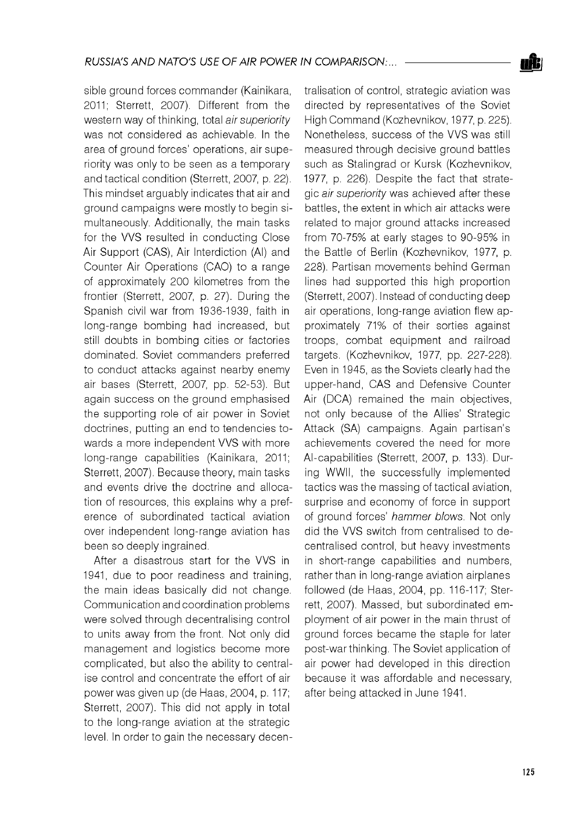sible ground forces commander (Kainikara, 2011; Sterrett, 2007). Different from the western way of thinking, total *air superiority* was not considered as achievable. In the area of ground forces' operations, air superiority was only to be seen as a temporary and tactical condition (Sterrett, 2007, p. 22). This mindset arguably indicates that air and ground campaigns were mostly to begin simultaneously. Additionally, the main tasks for the VVS resulted in conducting Close Air Support (CAS), Air Interdiction (AI) and Counter Air Operations (CAO) to a range of approximately 200 kilometres from the frontier (Sterrett, 2007, p. 27). During the Spanish civil war from 1936-1939, faith in long-range bombing had increased, but still doubts in bombing cities or factories dominated. Soviet commanders preferred to conduct attacks against nearby enemy air bases (Sterrett, 2007, pp. 52-53). But again success on the ground emphasised the supporting role of air power in Soviet doctrines, putting an end to tendencies towards a more independent VVS with more long-range capabilities (Kainikara, 2011; Sterrett, 2007). Because theory, main tasks and events drive the doctrine and allocation of resources, this explains why a preference of subordinated tactical aviation over independent long-range aviation has been so deeply ingrained.

After a disastrous start for the VVS in 1941, due to poor readiness and training, the main ideas basically did not change. Communication and coordination problems were solved through decentralising control to units away from the front. Not only did management and logistics become more complicated, but also the ability to centralise control and concentrate the effort of air power was given up (de Haas, 2004, p. 117; Sterrett, 2007). This did not apply in total to the long-range aviation at the strategic level. In order to gain the necessary decentralisation of control, strategic aviation was directed by representatives of the Soviet High Command (Kozhevnikov, 1977, p. 225). Nonetheless, success of the VVS was still measured through decisive ground battles such as Stalingrad or Kursk (Kozhevnikov, 1977, p. 226). Despite the fact that strategic *air superiority* was achieved after these battles, the extent in which air attacks were related to major ground attacks increased from 70-75% at early stages to 90-95% in the Battle of Berlin (Kozhevnikov, 1977, p. 228). Partisan movements behind German lines had supported this high proportion (Sterrett, 2007). Instead of conducting deep air operations, long-range aviation flew approximately 71% of their sorties against troops, combat equipment and railroad targets. (Kozhevnikov, 1977, pp. 227-228). Even in 1945, as the Soviets clearly had the upper-hand, CAS and Defensive Counter Air (DCA) remained the main objectives, not only because of the Allies' Strategic Attack (SA) campaigns. Again partisan's achievements covered the need for more AI-capabilities (Sterrett, 2007, p. 133). During WWII, the successfully implemented tactics was the massing of tactical aviation, surprise and economy of force in support of ground forces' *hammer blows.* Not only did the VVS switch from centralised to decentralised control, but heavy investments in short-range capabilities and numbers, rather than in long-range aviation airplanes followed (de Haas, 2004, pp. 116-117; Sterrett, 2007). Massed, but subordinated employment of air power in the main thrust of ground forces became the staple for later post-war thinking. The Soviet application of air power had developed in this direction because it was affordable and necessary, after being attacked in June 1941.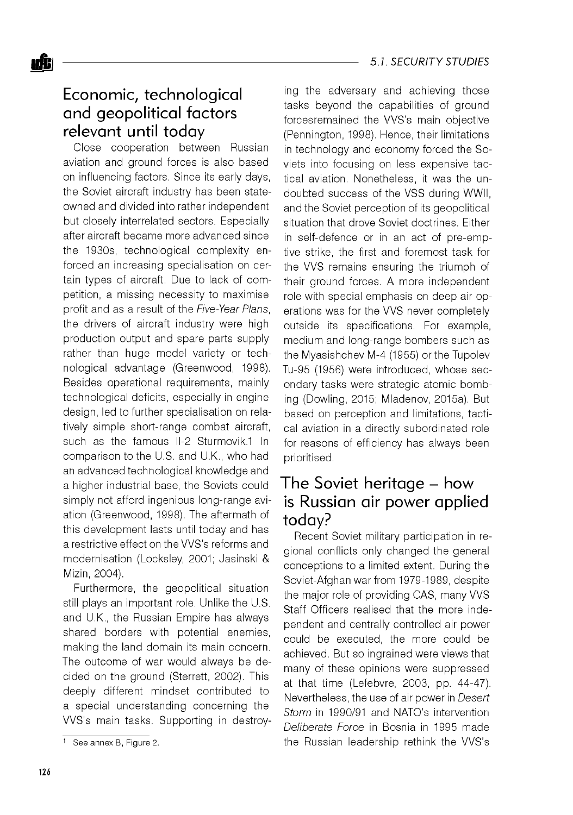#### oft<sup>i</sup> **fig.** *s* 5.1. SECURITY STUDIES

## Economic, technological and geopolitical factors relevant until today

Close cooperation between Russian aviation and ground forces is also based on influencing factors. Since its early days, the Soviet aircraft industry has been stateowned and divided into rather independent but closely interrelated sectors. Especially after aircraft became more advanced since the 1930s, technological complexity enforced an increasing specialisation on certain types of aircraft. Due to lack of competition, a missing necessity to maximise profit and as a result of the *Five-Year Plans,* the drivers of aircraft industry were high production output and spare parts supply rather than huge model variety or technological advantage (Greenwood, 1998). Besides operational requirements, mainly technological deficits, especially in engine design, led to further specialisation on relatively simple short-range combat aircraft, such as the famous II-2 Sturmovik.1 In comparison to the U.S. and U.K., who had an advanced technological knowledge and a higher industrial base, the Soviets could simply not afford ingenious long-range aviation (Greenwood, 1998). The aftermath of this development lasts until today and has a restrictive effect on the VVS's reforms and modernisation (Locksley, 2001; Jasinski & Mizin, 2004).

Furthermore, the geopolitical situation still plays an important role. Unlike the U.S. and U.K., the Russian Empire has always shared borders with potential enemies, making the land domain its main concern. The outcome of war would always be decided on the ground (Sterrett, 2002). This deeply different mindset contributed to a special understanding concerning the VVS's main tasks. Supporting in destroying the adversary and achieving those tasks beyond the capabilities of ground forcesremained the VVS's main objective (Pennington, 1998). Hence, their limitations in technology and economy forced the Soviets into focusing on less expensive tactical aviation. Nonetheless, it was the undoubted success of the VSS during WWII, and the Soviet perception of its geopolitical situation that drove Soviet doctrines. Either in self-defence or in an act of pre-emptive strike, the first and foremost task for the VVS remains ensuring the triumph of their ground forces. A more independent role with special emphasis on deep air operations was for the VVS never completely outside its specifications. For example, medium and long-range bombers such as the Myasishchev M-4 (1955) or the Tupolev Tu-95 (1956) were introduced, whose secondary tasks were strategic atomic bombing (Dowling, 2015; Mladenov, 2015a). But based on perception and limitations, tactical aviation in a directly subordinated role for reasons of efficiency has always been prioritised.

## The Soviet heritage – how is Russian air power applied today?

Recent Soviet military participation in regional conflicts only changed the general conceptions to a limited extent. During the Soviet-Afghan war from 1979-1989, despite the major role of providing CAS, many VVS Staff Officers realised that the more independent and centrally controlled air power could be executed, the more could be achieved. But so ingrained were views that many of these opinions were suppressed at that time (Lefebvre, 2003, pp. 44-47). Nevertheless, the use of air power in *Desert Storm* in 1990/91 and NATO's intervention *Deliberate Force* in Bosnia in 1995 made the Russian leadership rethink the VVS's

<sup>1</sup> See annex B, Figure 2.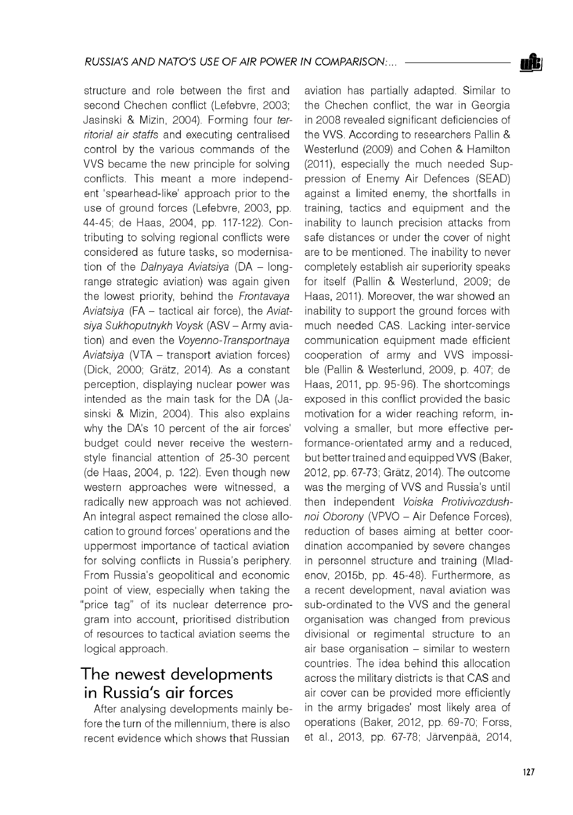structure and role between the first and second Chechen conflict (Lefebvre, 2003; Jasinski & Mizin, 2004). Forming four *territorial air staffs* and executing centralised control by the various commands of the VVS became the new principle for solving conflicts. This meant a more independent 'spearhead-like' approach prior to the use of ground forces (Lefebvre, 2003, pp. 44-45; de Haas, 2004, pp. 117-122). Contributing to solving regional conflicts were considered as future tasks, so modernisation of the *Dalnyaya Aviatsiya* (DA - longrange strategic aviation) was again given the lowest priority, behind the *Frontavaya Aviatsiya* (FA - tactical air force), the *Aviatsiya Sukhoputnykh Voysk* (ASV - Army aviation) and even the *Voyenno-Transportnaya Aviatsiya* (VTA - transport aviation forces) (Dick, 2000; Gratz, 2014). As a constant perception, displaying nuclear power was intended as the main task for the DA (Jasinski & Mizin, 2004). This also explains why the DA's 10 percent of the air forces' budget could never receive the westernstyle financial attention of 25-30 percent (de Haas, 2004, p. 122). Even though new western approaches were witnessed, a radically new approach was not achieved. An integral aspect remained the close allocation to ground forces' operations and the uppermost importance of tactical aviation for solving conflicts in Russia's periphery. From Russia's geopolitical and economic point of view, especially when taking the "price tag" of its nuclear deterrence program into account, prioritised distribution of resources to tactical aviation seems the logical approach.

# The newest developments in Russia's air forces

After analysing developments mainly before the turn of the millennium, there is also recent evidence which shows that Russian

aviation has partially adapted. Similar to the Chechen conflict, the war in Georgia in 2008 revealed significant deficiencies of the VVS. According to researchers Pallin & Westerlund (2009) and Cohen & Hamilton (2011), especially the much needed Suppression of Enemy Air Defences (SEAD) against a limited enemy, the shortfalls in training, tactics and equipment and the inability to launch precision attacks from safe distances or under the cover of night are to be mentioned. The inability to never completely establish air superiority speaks for itself (Pallin & Westerlund, 2009; de Haas, 2011). Moreover, the war showed an inability to support the ground forces with much needed CAS. Lacking inter-service communication equipment made efficient cooperation of army and VVS impossible (Pallin & Westerlund, 2009, p. 407; de Haas, 2011, pp. 95-96). The shortcomings exposed in this conflict provided the basic motivation for a wider reaching reform, involving a smaller, but more effective performance-orientated army and a reduced, but better trained and equipped VVS (Baker, 2012, pp. 67-73; Gratz, 2014). The outcome was the merging of VVS and Russia's until then independent *Voiska Protivivozdushnoi Oborony* (VPVO - Air Defence Forces), reduction of bases aiming at better coordination accompanied by severe changes in personnel structure and training (Mladenov, 2015b, pp. 45-48). Furthermore, as a recent development, naval aviation was sub-ordinated to the VVS and the general organisation was changed from previous divisional or regimental structure to an  $air$  base organisation  $-$  similar to western countries. The idea behind this allocation across the military districts is that CAS and air cover can be provided more efficiently in the army brigades' most likely area of operations (Baker, 2012, pp. 69-70; Forss, et al., 2013, pp. 67-78; Jarvenpaa, 2014,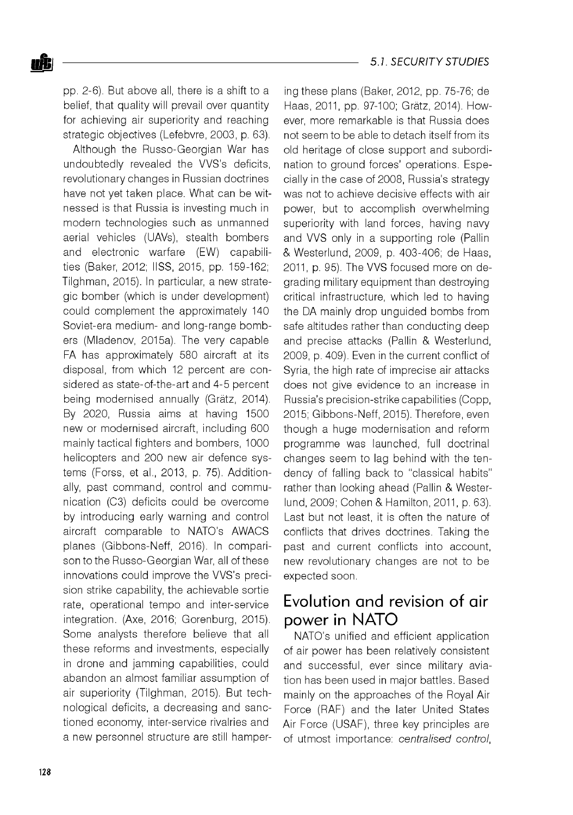pp. 2-6). But above all, there is a shift to a belief, that quality will prevail over quantity for achieving air superiority and reaching strategic objectives (Lefebvre, 2003, p. 63).

Although the Russo-Georgian War has undoubtedly revealed the VVS's deficits, revolutionary changes in Russian doctrines have not yet taken place. What can be witnessed is that Russia is investing much in modern technologies such as unmanned aerial vehicles (UAVs), stealth bombers and electronic warfare (EW) capabilities (Baker, 2012; IISS, 2015, pp. 159-162; Tilghman, 2015). In particular, a new strategic bomber (which is under development) could complement the approximately 140 Soviet-era medium- and long-range bombers (Mladenov, 2015a). The very capable FA has approximately 580 aircraft at its disposal, from which 12 percent are considered as state-of-the-art and 4-5 percent being modernised annually (Grätz, 2014). By 2020, Russia aims at having 1500 new or modernised aircraft, including 600 mainly tactical fighters and bombers, 1000 helicopters and 200 new air defence systems (Forss, et al., 2013, p. 75). Additionally, past command, control and communication (C3) deficits could be overcome by introducing early warning and control aircraft comparable to NATO's AWACS planes (Gibbons-Neff, 2016). In comparison to the Russo-Georgian War, all of these innovations could improve the VVS's precision strike capability, the achievable sortie rate, operational tempo and inter-service integration. (Axe, 2016; Gorenburg, 2015). Some analysts therefore believe that all these reforms and investments, especially in drone and jamming capabilities, could abandon an almost familiar assumption of air superiority (Tilghman, 2015). But technological deficits, a decreasing and sanctioned economy, inter-service rivalries and a new personnel structure are still hampering these plans (Baker, 2012, pp. 75-76; de Haas, 2011, pp. 97-100; Gratz, 2014). However, more remarkable is that Russia does not seem to be able to detach itself from its old heritage of close support and subordination to ground forces' operations. Especially in the case of 2008, Russia's strategy was not to achieve decisive effects with air power, but to accomplish overwhelming superiority with land forces, having navy and VVS only in a supporting role (Pallin & Westerlund, 2009, p. 403-406; de Haas, 2011, p. 95). The VVS focused more on degrading military equipment than destroying critical infrastructure, which led to having the DA mainly drop unguided bombs from safe altitudes rather than conducting deep and precise attacks (Pallin & Westerlund, 2009, p. 409). Even in the current conflict of Syria, the high rate of imprecise air attacks does not give evidence to an increase in Russia's precision-strike capabilities (Copp, 2015; Gibbons-Neff, 2015). Therefore, even though a huge modernisation and reform programme was launched, full doctrinal changes seem to lag behind with the tendency of falling back to "classical habits" rather than looking ahead (Pallin & Westerlund, 2009; Cohen & Hamilton, 2011, p. 63). Last but not least, it is often the nature of conflicts that drives doctrines. Taking the past and current conflicts into account, new revolutionary changes are not to be expected soon.

## Evolution and revision of air power in NATO

NATO's unified and efficient application of air power has been relatively consistent and successful, ever since military aviation has been used in major battles. Based mainly on the approaches of the Royal Air Force (RAF) and the later United States Air Force (USAF), three key principles are of utmost importance: *centralised control,*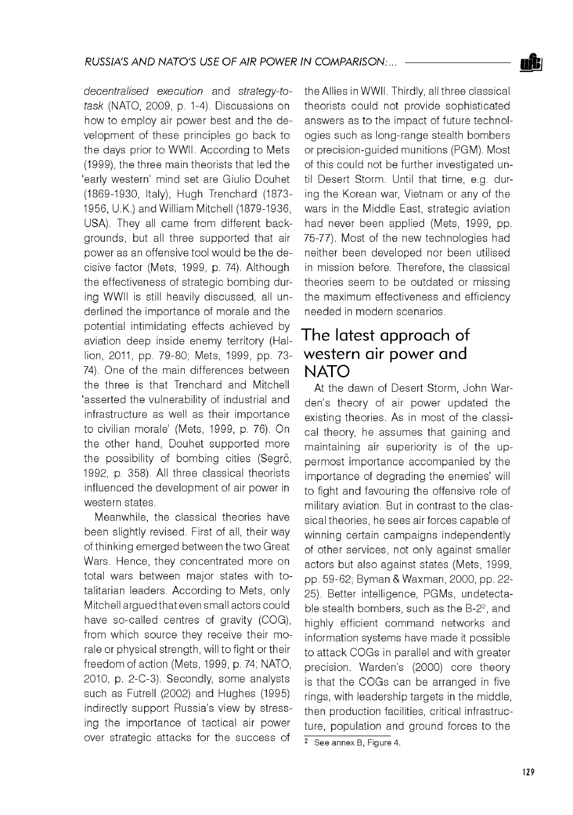*decentralised execution* and *strategy-totask* (NATO, 2009, p. 1-4). Discussions on how to employ air power best and the development of these principles go back to the days prior to WWII. According to Mets (1999), the three main theorists that led the 'early western' mind set are Giulio Douhet (1869-1930, Italy), Hugh Trenchard (1873 1956, U.K.) and William Mitchell (1879-1936, USA). They all came from different backgrounds, but all three supported that air power as an offensive tool would be the decisive factor (Mets, 1999, p. 74). Although the effectiveness of strategic bombing during WWII is still heavily discussed, all underlined the importance of morale and the potential intimidating effects achieved by aviation deep inside enemy territory (Hallion, 2011, pp. 79-80; Mets, 1999, pp. 73 74). One of the main differences between the three is that Trenchard and Mitchell 'asserted the vulnerability of industrial and infrastructure as well as their importance to civilian morale' (Mets, 1999, p. 76). On the other hand, Douhet supported more the possibility of bombing cities (Segrč, 1992, p. 358). All three classical theorists influenced the development of air power in western states.

Meanwhile, the classical theories have been slightly revised. First of all, their way of thinking emerged between the two Great Wars. Hence, they concentrated more on total wars between major states with totalitarian leaders. According to Mets, only Mitchell argued that even small actors could have so-called centres of gravity (COG), from which source they receive their morale or physical strength, will to fight or their freedom of action (Mets, 1999, p. 74; NATO, 2010, p. 2-C-3). Secondly, some analysts such as Futrell (2002) and Hughes (1995) indirectly support Russia's view by stressing the importance of tactical air power over strategic attacks for the success of

the Allies in WWII. Thirdly, all three classical theorists could not provide sophisticated answers as to the impact of future technologies such as long-range stealth bombers or precision-guided munitions (PGM). Most of this could not be further investigated until Desert Storm. Until that time, e.g. during the Korean war, Vietnam or any of the wars in the Middle East, strategic aviation had never been applied (Mets, 1999, pp. 75-77). Most of the new technologies had neither been developed nor been utilised in mission before. Therefore, the classical theories seem to be outdated or missing the maximum effectiveness and efficiency needed in modern scenarios.

## The latest approach of western air power and NATO

At the dawn of Desert Storm, John Warden's theory of air power updated the existing theories. As in most of the classical theory, he assumes that gaining and maintaining air superiority is of the uppermost importance accompanied by the importance of degrading the enemies' will to fight and favouring the offensive role of military aviation. But in contrast to the classical theories, he sees air forces capable of winning certain campaigns independently of other services, not only against smaller actors but also against states (Mets, 1999, pp. 59-62; Byman & Waxman, 2000, pp. 22 25). Better intelligence, PGMs, undetectable stealth bombers, such as the B-2<sup>2</sup>, and highly efficient command networks and information systems have made it possible to attack COGs in parallel and with greater precision. Warden's (2000) core theory is that the COGs can be arranged in five rings, with leadership targets in the middle, then production facilities, critical infrastructure, population and ground forces to the

<sup>&</sup>lt;sup>2</sup> See annex B, Figure 4.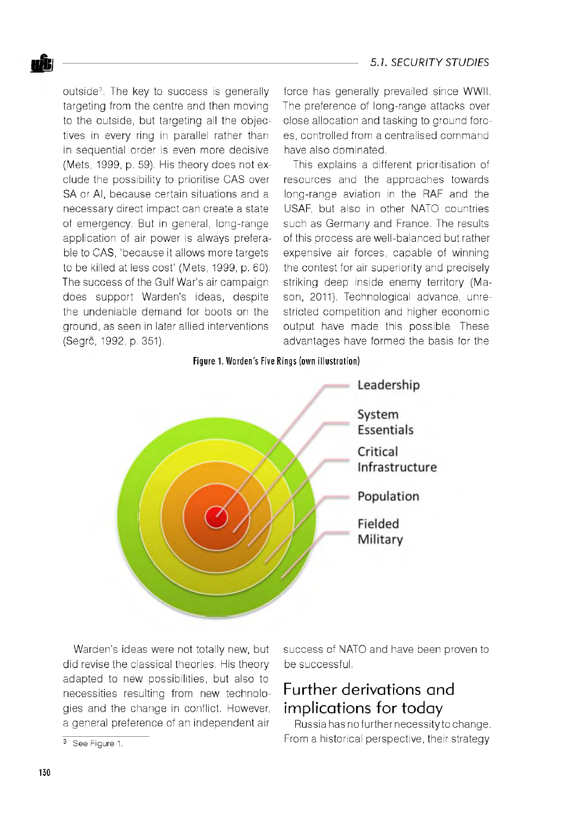outside3. The key to success is generally targeting from the centre and then moving to the outside, but targeting all the objectives in every ring in parallel rather than in sequential order is even more decisive (Mets, 1999, p. 59). His theory does not exclude the possibility to prioritise CAS over SA or AI, because certain situations and a necessary direct impact can create a state of emergency. But in general, long-range application of air power is always preferable to CAS, 'because it allows more targets to be killed at less cost' (Mets, 1999, p. 60). The success of the Gulf War's air campaign does support Warden's ideas, despite the undeniable demand for boots on the ground, as seen in later allied interventions (Segrc, 1992, p. 351).

force has generally prevailed since WWII. The preference of long-range attacks over close allocation and tasking to ground forces, controlled from a centralised command have also dominated.

This explains a different prioritisation of resources and the approaches towards long-range aviation in the RAF and the USAF, but also in other NATO countries such as Germany and France. The results of this process are well-balanced but rather expensive air forces, capable of winning the contest for air superiority and precisely striking deep inside enemy territory (Mason, 2011). Technological advance, unrestricted competition and higher economic output have made this possible. These advantages have formed the basis for the

**Figure 1. W a rden 's Five Rings (own illustration)**



Warden's ideas were not totally new, but did revise the classical theories. His theory adapted to new possibilities, but also to necessities resulting from new technologies and the change in conflict. However, a general preference of an independent air

success of NATO and have been proven to be successful.

## Further derivations and implications for today

Russia has no further necessity to change. From a historical perspective, their strategy

<sup>&</sup>lt;sup>3</sup> See Figure 1.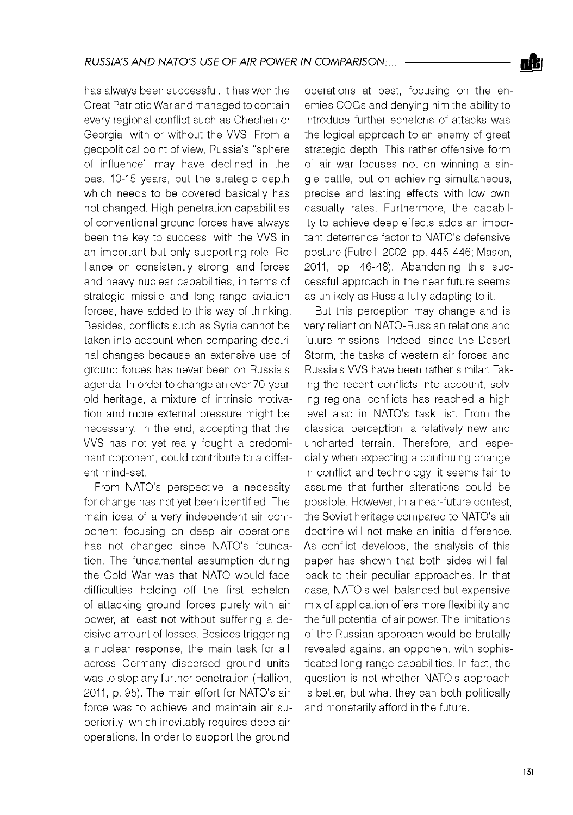has always been successful. It has won the Great Patriotic War and managed to contain every regional conflict such as Chechen or Georgia, with or without the VVS. From a geopolitical point of view, Russia's "sphere of influence" may have declined in the past 10-15 years, but the strategic depth which needs to be covered basically has not changed. High penetration capabilities of conventional ground forces have always been the key to success, with the VVS in an important but only supporting role. Reliance on consistently strong land forces and heavy nuclear capabilities, in terms of strategic missile and long-range aviation forces, have added to this way of thinking. Besides, conflicts such as Syria cannot be taken into account when comparing doctrinal changes because an extensive use of ground forces has never been on Russia's agenda. In order to change an over 70-yearold heritage, a mixture of intrinsic motivation and more external pressure might be necessary. In the end, accepting that the VVS has not yet really fought a predominant opponent, could contribute to a different mind-set.

From NATO's perspective, a necessity for change has not yet been identified. The main idea of a very independent air component focusing on deep air operations has not changed since NATO's foundation. The fundamental assumption during the Cold War was that NATO would face difficulties holding off the first echelon of attacking ground forces purely with air power, at least not without suffering a decisive amount of losses. Besides triggering a nuclear response, the main task for all across Germany dispersed ground units was to stop any further penetration (Hallion, 2011, p. 95). The main effort for NATO's air force was to achieve and maintain air superiority, which inevitably requires deep air operations. In order to support the ground

operations at best, focusing on the enemies COGs and denying him the ability to introduce further echelons of attacks was the logical approach to an enemy of great strategic depth. This rather offensive form of air war focuses not on winning a single battle, but on achieving simultaneous, precise and lasting effects with low own casualty rates. Furthermore, the capability to achieve deep effects adds an important deterrence factor to NATO's defensive posture (Futrell, 2002, pp. 445-446; Mason, 2011, pp. 46-48). Abandoning this successful approach in the near future seems as unlikely as Russia fully adapting to it.

But this perception may change and is very reliant on NATO-Russian relations and future missions. Indeed, since the Desert Storm, the tasks of western air forces and Russia's VVS have been rather similar. Taking the recent conflicts into account, solving regional conflicts has reached a high level also in NATO's task list. From the classical perception, a relatively new and uncharted terrain. Therefore, and especially when expecting a continuing change in conflict and technology, it seems fair to assume that further alterations could be possible. However, in a near-future contest, the Soviet heritage compared to NATO's air doctrine will not make an initial difference. As conflict develops, the analysis of this paper has shown that both sides will fall back to their peculiar approaches. In that case, NATO's well balanced but expensive mix of application offers more flexibility and the full potential of air power. The limitations of the Russian approach would be brutally revealed against an opponent with sophisticated long-range capabilities. In fact, the question is not whether NATO's approach is better, but what they can both politically and monetarily afford in the future.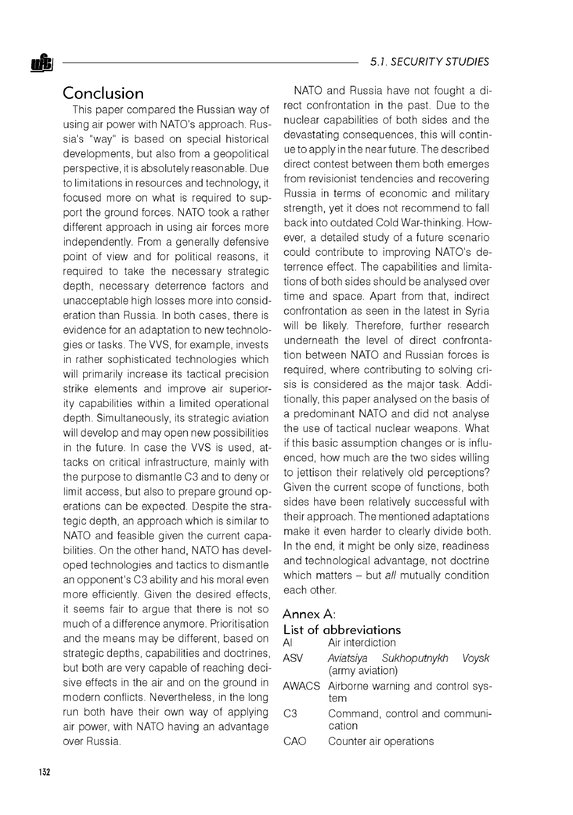### Conclusion

This paper compared the Russian way of using air power with NATO's approach. Russia's "way" is based on special historical developments, but also from a geopolitical perspective, it is absolutely reasonable. Due to limitations in resources and technology, it focused more on what is required to support the ground forces. NATO took a rather different approach in using air forces more independently. From a generally defensive point of view and for political reasons, it required to take the necessary strategic depth, necessary deterrence factors and unacceptable high losses more into consideration than Russia. In both cases, there is evidence for an adaptation to new technologies or tasks. The VVS, for example, invests in rather sophisticated technologies which will primarily increase its tactical precision strike elements and improve air superiority capabilities within a limited operational depth. Simultaneously, its strategic aviation will develop and may open new possibilities in the future. In case the VVS is used, attacks on critical infrastructure, mainly with the purpose to dismantle C3 and to deny or limit access, but also to prepare ground operations can be expected. Despite the strategic depth, an approach which is similar to NATO and feasible given the current capabilities. On the other hand, NATO has developed technologies and tactics to dismantle an opponent's C3 ability and his moral even more efficiently. Given the desired effects, it seems fair to argue that there is not so much of a difference anymore. Prioritisation and the means may be different, based on strategic depths, capabilities and doctrines, but both are very capable of reaching decisive effects in the air and on the ground in modern conflicts. Nevertheless, in the long run both have their own way of applying air power, with NATO having an advantage over Russia.

NATO and Russia have not fought a direct confrontation in the past. Due to the nuclear capabilities of both sides and the devastating consequences, this will continue to apply in the near future. The described direct contest between them both emerges from revisionist tendencies and recovering Russia in terms of economic and military strength, yet it does not recommend to fall back into outdated Cold War-thinking. However, a detailed study of a future scenario could contribute to improving NATO's deterrence effect. The capabilities and limitations of both sides should be analysed over time and space. Apart from that, indirect confrontation as seen in the latest in Syria will be likely. Therefore, further research underneath the level of direct confrontation between NATO and Russian forces is required, where contributing to solving crisis is considered as the major task. Additionally, this paper analysed on the basis of a predominant NATO and did not analyse the use of tactical nuclear weapons. What if this basic assumption changes or is influenced, how much are the two sides willing to jettison their relatively old perceptions? Given the current scope of functions, both sides have been relatively successful with their approach. The mentioned adaptations make it even harder to clearly divide both. In the end, it might be only size, readiness and technological advantage, not doctrine which matters - but *all* mutually condition each other.

#### Annex A:

#### List of abbreviations

AI Air interdiction

- ASV *Aviatsiya Sukhoputnykh Voysk* (army aviation)
- AWACS Airborne warning and control system
- C3 Command, control and communication
- CAO Counter air operations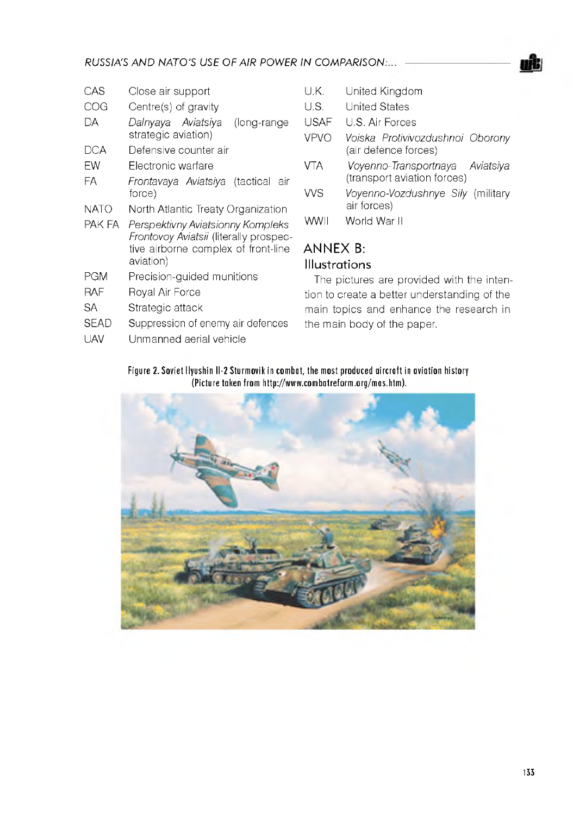

- CAS Close air support
- COG Centre(s) of gravity
- DA *Dalnyaya Aviatsiya* (long-range strategic aviation)
- DCA Defensive counter air
- EW Electronic warfare
- FA *Frontavaya Aviatsiya* (tactical air force)
- NATO North Atlantic Treaty Organization
- PAK FA *PerspektivnyAviatsionny Kompleks Frontovoy Aviatsii* (literally prospective airborne complex of front-line aviation)
- PGM Precision-guided munitions
- RAF Royal Air Force
- SA Strategic attack
- SEAD Suppression of enemy air defences
- UAV Unmanned aerial vehicle
- U.K. United Kingdom
- U.S. United States
- USAF U.S. Air Forces
- VPVO *Voiska Protivivozdushnoi Oborony* (air defence forces)
- VTA *Voyenno-Transportnaya* (transport aviation forces) *Aviatsiya*
- VVS *Voyenno-Vozdushnye Sily* (military air forces)
- WWII World War II

#### ANNEX B: **Illustrations**

The pictures are provided with the intention to create a better understanding of the main topics and enhance the research in the main body of the paper.

#### **Figure 2. Soviet Ilyushin Il-2 Sturmovik in combat, the most produced aircraft in aviation history (Picture taken from [http://www.com batreform .org/m as.htm](http://www.combatreform.org/mas.htm) ).**

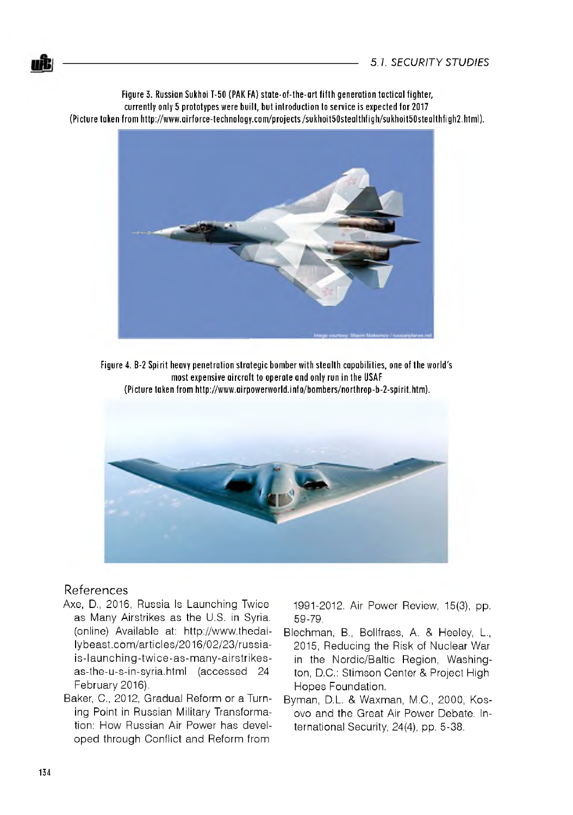Figure 3. Russian Sukhoi T-50 (PAK FA) state-of-the-art fifth generation tactical fighter, **currently only 5 prototypes were built, but introduction to service is expected for 2017** (Picture taken from http://www.airforce-technology.com/projects/sukhoit50stealthfigh/sukhoit50stealthfigh2.html).



**Figure 4. B-2 Spirit heavy penetration strategic bomber with stealth capabilities, one of the world's most expensive aircraft to operate and only run in the USAF (Picture taken from [http://www.airpowerworld.info/bom bers/northrop-b-2-spirit.htm](http://www.airpowerworld.info/bombers/northrop-b-2-spirit.htm) ).**



#### References

- Axe, D., 2016, Russia Is Launching Twice as Many Airstrikes as the U.S. in Syria. (online) Available at: [http://www.thedai](http://www.thedai-)lybeast.com/articles/2016/02/23/russiais-launching-twice-as-many-airstrikesas-the-u-s-in-syria.html (accessed 24 February 2016).
- Baker, C., 2012, Gradual Reform or a Turning Point in Russian Military Transformation: How Russian Air Power has developed through Conflict and Reform from

1991-2012. Air Power Review, 15(3), pp. 59-79.

- Blechman, B., Bollfrass, A. & Heeley, L., 2015, Reducing the Risk of Nuclear War in the Nordic/Baltic Region, Washington, D.C.: Stimson Center & Project High Hopes Foundation.
- Byman, D.L. & Waxman, M.C., 2000, Kosovo and the Great Air Power Debate. International Security, 24(4), pp. 5-38.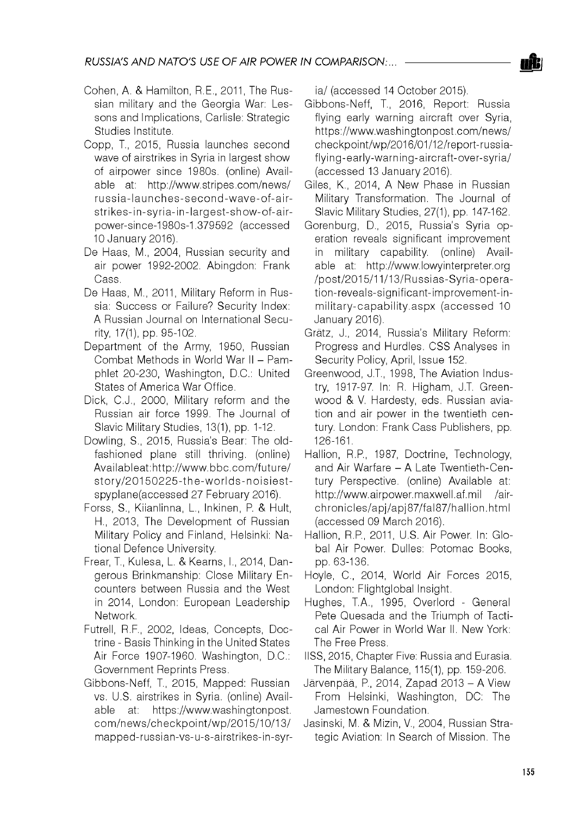- Cohen, A. & Hamilton, R.E., 2011, The Russian military and the Georgia War: Lessons and Implications, Carlisle: Strategic Studies Institute.
- Copp, T., 2015, Russia launches second wave of airstrikes in Syria in largest show of airpower since 1980s. (online) Available at: <http://www.stripes.com/news/> russia-launches-second-w ave-of-airstrikes-in-syria-in-largest-show -of-airpower-since-1980s-1.379592 (accessed 10 January 2016).
- De Haas, M., 2004, Russian security and air power 1992-2002. Abingdon: Frank Cass.
- De Haas, M., 2011, Military Reform in Russia: Success or Failure? Security Index: A Russian Journal on International Security, 17(1), pp. 95-102.
- Department of the Army, 1950, Russian Combat Methods in World War II - Pamphlet 20-230, Washington, D.C.: United States of America War Office.
- Dick, C.J., 2000, Military reform and the Russian air force 1999. The Journal of Slavic Military Studies, 13(1), pp. 1-12.
- Dowling, S., 2015, Russia's Bear: The oldfashioned plane still thriving. (online) Availableat:[http://www.bbc.com /future/](http://www.bbc.com/future/)  story/20150225-the-worlds-noisiestspyplane(accessed 27 February 2016).
- Forss, S., Kiianlinna, L., Inkinen, P. & Hult, H., 2013, The Development of Russian Military Policy and Finland, Helsinki: National Defence University.
- Frear, T., Kulesa, L. & Kearns, I., 2014, Dangerous Brinkmanship: Close Military Encounters between Russia and the West in 2014, London: European Leadership Network.
- Futrell, R.F., 2002, Ideas, Concepts, Doctrine - Basis Thinking in the United States Air Force 1907-1960. Washington, D.C.: Government Reprints Press.
- Gibbons-Neff, T., 2015, Mapped: Russian vs. U.S. airstrikes in Syria. (online) Available at: [https://www.washingtonpost.](https://www.washingtonpost) com /new s/checkpoint/w p/2015/10/13/ mapped-russian-vs-u-s-airstrikes-in-syr-

ia/ (accessed 14 October 2015).

- Gibbons-Neff, T., 2016, Report: Russia flying early warning aircraft over Syria, <https://www.washingtonpost.com/news/> checkpoint/wp/2016/01/12/report-russiaflying-early-warning-aircraft-over-syria/ (accessed 13 January 2016).
- Giles, K., 2014, A New Phase in Russian Military Transformation. The Journal of Slavic Military Studies, 27(1), pp. 147-162.
- Gorenburg, D., 2015, Russia's Syria operation reveals significant improvement in military capability, (online) Available at: <http://www.lowyinterpreter.org> /post/2015/11/13/Russias-Syria-opera tion-reveals-significant-improvement-inmilitary-capability.aspx (accessed 10 January 2016).
- Gratz, J., 2014, Russia's Military Reform: Progress and Hurdles. CSS Analyses in Security Policy, April, Issue 152.
- Greenwood, J.T., 1998, The Aviation Industry, 1917-97. In: R. Higham, J.T. Greenwood & V. Hardesty, eds. Russian aviation and air power in the twentieth century. London: Frank Cass Publishers, pp. 126-161.
- Hallion, R.P., 1987, Doctrine, Technology, and Air Warfare - A Late Twentieth-Century Perspective. (online) Available at: http: //www. airpower.maxwell.af.mil /airchronicles/apj/apj 87/fal87/hallion. html (accessed 09 March 2016).
- Hallion, R.P., 2011, U.S. Air Power. In: Global Air Power. Dulles: Potomac Books, pp. 63-136.
- Hoyle, C., 2014, World Air Forces 2015, London: Flightglobal Insight.
- Hughes, T.A., 1995, Overlord General Pete Quesada and the Triumph of Tactical Air Power in World War II. New York: The Free Press.
- IISS, 2015, Chapter Five: Russia and Eurasia. The Military Balance, 115(1), pp. 159-206.
- Järvenpää, P., 2014, Zapad 2013 A View From Helsinki, Washington, DC: The Jamestown Foundation.
- Jasinski, M. & Mizin, V., 2004, Russian Strategic Aviation: In Search of Mission. The